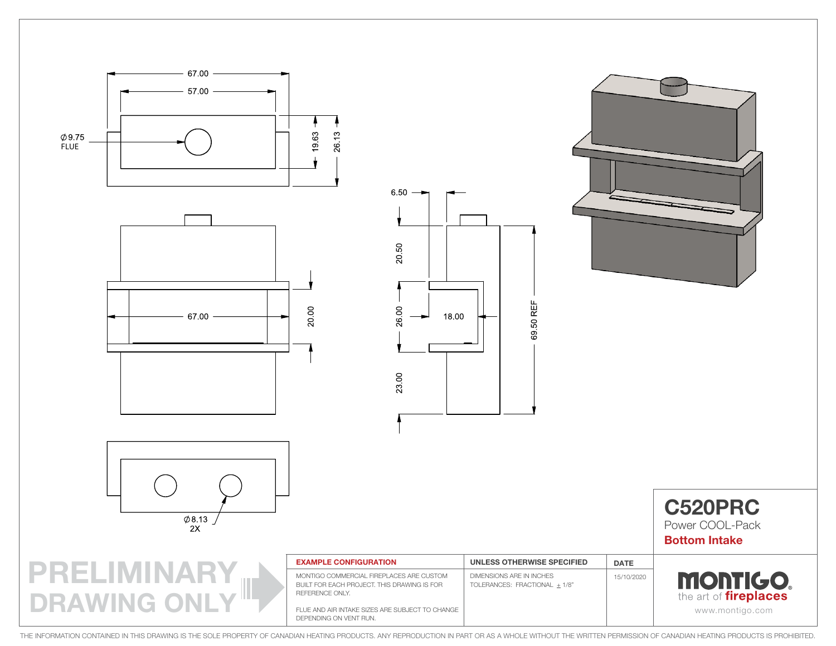



| <b>C520PRC</b>       |
|----------------------|
| Power COOI -Pack     |
| <b>Bottom Intake</b> |

PRELIMINARY DRAWING ONL

| <b>EXAMPLE CONFIGURATION</b>                                                                               | UNLESS OTHERWISE SPECIFIED                                | <b>DATE</b> |                                                |
|------------------------------------------------------------------------------------------------------------|-----------------------------------------------------------|-------------|------------------------------------------------|
| MONTIGO COMMERCIAL FIREPLACES ARE CUSTOM<br>BUILT FOR EACH PROJECT. THIS DRAWING IS FOR<br>REFERENCE ONLY. | DIMENSIONS ARE IN INCHES<br>TOLERANCES: FRACTIONAL + 1/8" | 15/10/2020  | <b>MONTIGO</b><br>the art of <i>fireplaces</i> |
| FLUE AND AIR INTAKE SIZES ARE SUBJECT TO CHANGE<br>DEPENDING ON VENT RUN.                                  |                                                           |             | www.montigo.com                                |

69.50 REF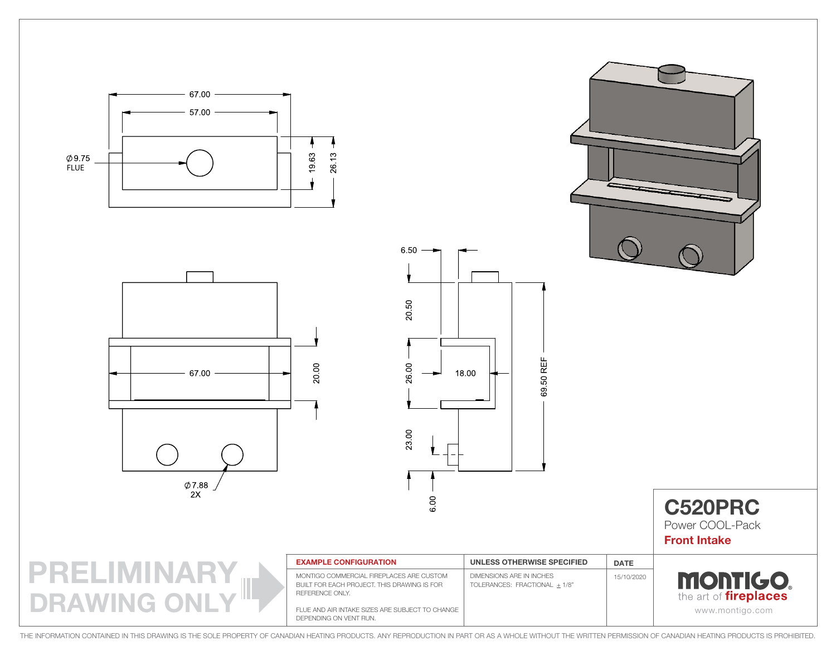







69.50 REF

C520PRC Power COOL-Pack Front Intake



| <b>EXAMPLE CONFIGURATION</b>                                                                               | UNLESS OTHERWISE SPECIFIED                                | <b>DATE</b> |                                                 |
|------------------------------------------------------------------------------------------------------------|-----------------------------------------------------------|-------------|-------------------------------------------------|
| MONTIGO COMMERCIAL FIREPLACES ARE CUSTOM<br>BUILT FOR EACH PROJECT. THIS DRAWING IS FOR<br>REFERENCE ONLY. | DIMENSIONS ARE IN INCHES<br>TOLERANCES: FRACTIONAL + 1/8" | 15/10/2020  | <b>MONTIGO.</b><br>the art of <i>fireplaces</i> |
| FLUE AND AIR INTAKE SIZES ARE SUBJECT TO CHANGE<br>DEPENDING ON VENT RUN.                                  |                                                           |             | www.montigo.com                                 |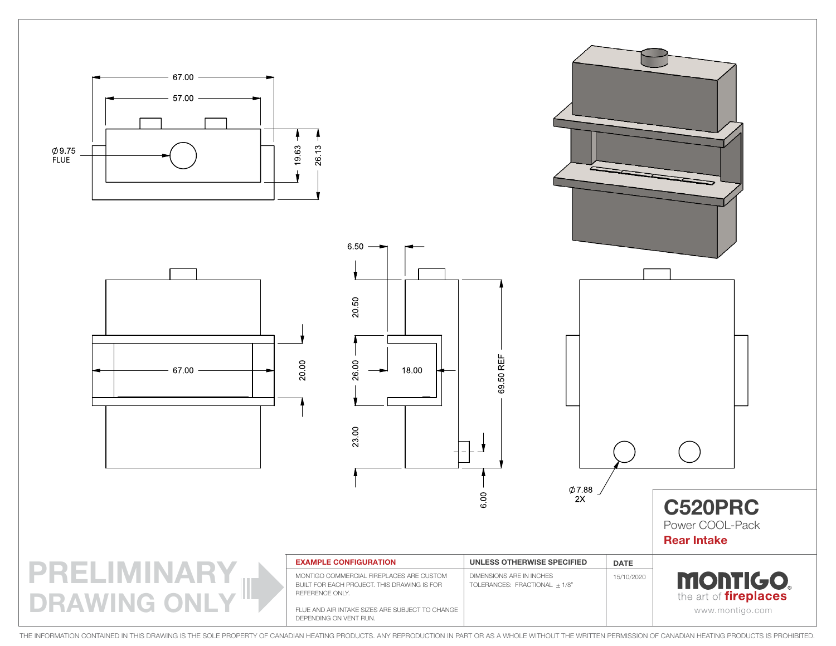

**MONTIGO.** REFERENCE ONLY. the art of **fireplaces DRAWING ONL** FLUE AND AIR INTAKE SIZES ARE SUBJECT TO CHANGE www.montigo.com DEPENDING ON VENT RUN.